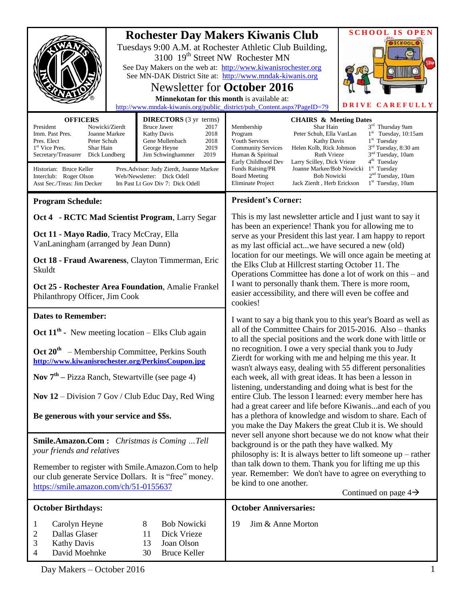|                                                                                                                                                                                                                                                                                                                                                                                                                                                   |                                                                                                                                  | <b>Rochester Day Makers Kiwanis Club</b>                                                                                                                                                                                                                                                                                                                                                                                                                                                                                                                                                                                                                                                              | <b>SCHOOL IS OPEN</b> |
|---------------------------------------------------------------------------------------------------------------------------------------------------------------------------------------------------------------------------------------------------------------------------------------------------------------------------------------------------------------------------------------------------------------------------------------------------|----------------------------------------------------------------------------------------------------------------------------------|-------------------------------------------------------------------------------------------------------------------------------------------------------------------------------------------------------------------------------------------------------------------------------------------------------------------------------------------------------------------------------------------------------------------------------------------------------------------------------------------------------------------------------------------------------------------------------------------------------------------------------------------------------------------------------------------------------|-----------------------|
|                                                                                                                                                                                                                                                                                                                                                                                                                                                   | 3100 19 <sup>th</sup> Street NW Rochester MN<br><b>Newsletter for October 2016</b><br>Minnekotan for this month is available at: | Tuesdays 9:00 A.M. at Rochester Athletic Club Building,<br>See Day Makers on the web at: http://www.kiwanisrochester.org<br>See MN-DAK District Site at: http://www.mndak-kiwanis.org                                                                                                                                                                                                                                                                                                                                                                                                                                                                                                                 | OSCHOOL<br>DRIVE      |
|                                                                                                                                                                                                                                                                                                                                                                                                                                                   |                                                                                                                                  | http://www.mndak-kiwanis.org/public_district/pub_Content.aspx?PageID=79                                                                                                                                                                                                                                                                                                                                                                                                                                                                                                                                                                                                                               | <b>CAREFULLY</b>      |
| <b>OFFICERS</b><br><b>DIRECTORS</b> (3 yr terms)<br>President<br>Nowicki/Zierdt<br><b>Bruce Jawer</b><br>2017<br>Imm. Past Pres.<br>Joanne Markee<br>Kathy Davis<br>2018<br>Pres. Elect<br>Peter Schuh<br>Gene Mullenbach<br>2018<br>1 <sup>st</sup> Vice Pres.<br>2019<br>Shar Hain<br>George Heyne<br>2019<br>Secretary/Treasurer<br>Dick Lundberg<br>Jim Schwinghammer<br>Historian: Bruce Keller<br>Pres. Advisor: Judy Zierdt, Joanne Markee |                                                                                                                                  | <b>CHAIRS &amp; Meeting Dates</b><br>3rd Thursday 9am<br>Membership<br>Shar Hain<br>$1st$ Tuesday, 10:15am<br>Program<br>Peter Schuh, Ella VanLan<br>$1st$ Tuesday<br><b>Youth Services</b><br><b>Kathy Davis</b><br>3 <sup>rd</sup> Tuesday, 8:30 am<br>Helen Kolb, Rick Johnson<br><b>Community Services</b><br>3 <sup>nd</sup> Tuesday, 10am<br>Human & Spiritual<br><b>Ruth Vrieze</b><br>4 <sup>th</sup> Tuesday<br>Early Childhood Dev<br>Larry Scilley, Dick Vrieze<br>$1st$ Tuesday<br>Funds Raising/PR<br>Joanne Markee/Bob Nowicki<br>2 <sup>nd</sup> Tuesday, 10am<br><b>Board Meeting</b><br><b>Bob Nowicki</b><br>Eliminate Project<br>$1st$ Tuesday, 10am<br>Jack Zierdt, Herb Erickson |                       |
| Interclub: Roger Olson<br>Web/Newsletter: Dick Odell<br>Asst Sec./Treas: Jim Decker<br>Im Past Lt Gov Div 7: Dick Odell                                                                                                                                                                                                                                                                                                                           |                                                                                                                                  |                                                                                                                                                                                                                                                                                                                                                                                                                                                                                                                                                                                                                                                                                                       |                       |
| <b>Program Schedule:</b>                                                                                                                                                                                                                                                                                                                                                                                                                          |                                                                                                                                  | <b>President's Corner:</b>                                                                                                                                                                                                                                                                                                                                                                                                                                                                                                                                                                                                                                                                            |                       |
| Oct 4 - RCTC Mad Scientist Program, Larry Segar                                                                                                                                                                                                                                                                                                                                                                                                   |                                                                                                                                  | This is my last new sletter article and I just want to say it<br>has been an experience! Thank you for allowing me to<br>serve as your President this last year. I am happy to report<br>as my last official actwe have secured a new (old)                                                                                                                                                                                                                                                                                                                                                                                                                                                           |                       |
| Oct 11 - Mayo Radio, Tracy McCray, Ella<br>VanLaningham (arranged by Jean Dunn)                                                                                                                                                                                                                                                                                                                                                                   |                                                                                                                                  |                                                                                                                                                                                                                                                                                                                                                                                                                                                                                                                                                                                                                                                                                                       |                       |
| Oct 18 - Fraud Awareness, Clayton Timmerman, Eric<br>Skuldt                                                                                                                                                                                                                                                                                                                                                                                       |                                                                                                                                  | location for our meetings. We will once again be meeting at<br>the Elks Club at Hillcrest starting October 11. The<br>Operations Committee has done a lot of work on this – and<br>I want to personally thank them. There is more room,<br>easier accessibility, and there will even be coffee and<br>cookies!                                                                                                                                                                                                                                                                                                                                                                                        |                       |
| Oct 25 - Rochester Area Foundation, Amalie Frankel<br>Philanthropy Officer, Jim Cook                                                                                                                                                                                                                                                                                                                                                              |                                                                                                                                  |                                                                                                                                                                                                                                                                                                                                                                                                                                                                                                                                                                                                                                                                                                       |                       |
| <b>Dates to Remember:</b>                                                                                                                                                                                                                                                                                                                                                                                                                         |                                                                                                                                  | I want to say a big thank you to this year's Board as well as                                                                                                                                                                                                                                                                                                                                                                                                                                                                                                                                                                                                                                         |                       |
| Oct $11^{th}$ - New meeting location – Elks Club again                                                                                                                                                                                                                                                                                                                                                                                            |                                                                                                                                  | all of the Committee Chairs for 2015-2016. Also – thanks<br>to all the special positions and the work done with little or                                                                                                                                                                                                                                                                                                                                                                                                                                                                                                                                                                             |                       |
| $\text{Oct } 20^{\text{th}}$ – Membership Committee, Perkins South<br>http://www.kiwanisrochester.org/PerkinsCoupon.jpg                                                                                                                                                                                                                                                                                                                           |                                                                                                                                  | no recognition. I owe a very special thank you to Judy<br>Zierdt for working with me and helping me this year. It<br>wasn't always easy, dealing with 55 different personalities                                                                                                                                                                                                                                                                                                                                                                                                                                                                                                                      |                       |
| <b>Nov</b> $7th$ – Pizza Ranch, Stewartville (see page 4)                                                                                                                                                                                                                                                                                                                                                                                         |                                                                                                                                  | each week, all with great ideas. It has been a lesson in<br>listening, understanding and doing what is best for the<br>entire Club. The lesson I learned: every member here has<br>had a great career and life before Kiwanisand each of you                                                                                                                                                                                                                                                                                                                                                                                                                                                          |                       |
| Nov $12$ – Division 7 Gov / Club Educ Day, Red Wing                                                                                                                                                                                                                                                                                                                                                                                               |                                                                                                                                  |                                                                                                                                                                                                                                                                                                                                                                                                                                                                                                                                                                                                                                                                                                       |                       |
| Be generous with your service and \$\$s.                                                                                                                                                                                                                                                                                                                                                                                                          |                                                                                                                                  | has a plethora of knowledge and wisdom to share. Each of<br>you make the Day Makers the great Club it is. We should<br>never sell anyone short because we do not know what their<br>background is or the path they have walked. My<br>philosophy is: It is always better to lift someone $up$ – rather                                                                                                                                                                                                                                                                                                                                                                                                |                       |
| <b>Smile.Amazon.Com:</b> Christmas is Coming Tell<br>your friends and relatives                                                                                                                                                                                                                                                                                                                                                                   |                                                                                                                                  |                                                                                                                                                                                                                                                                                                                                                                                                                                                                                                                                                                                                                                                                                                       |                       |
| Remember to register with Smile.Amazon.Com to help<br>our club generate Service Dollars. It is "free" money.<br>https://smile.amazon.com/ch/51-0155637                                                                                                                                                                                                                                                                                            |                                                                                                                                  | than talk down to them. Thank you for lifting me up this<br>year. Remember: We don't have to agree on everything to<br>be kind to one another.<br>Continued on page $4\rightarrow$                                                                                                                                                                                                                                                                                                                                                                                                                                                                                                                    |                       |
| <b>October Birthdays:</b>                                                                                                                                                                                                                                                                                                                                                                                                                         |                                                                                                                                  | <b>October Anniversaries:</b>                                                                                                                                                                                                                                                                                                                                                                                                                                                                                                                                                                                                                                                                         |                       |
| 1<br>Carolyn Heyne<br>Dallas Glaser<br>2<br><b>Kathy Davis</b><br>3<br>David Moehnke<br>4                                                                                                                                                                                                                                                                                                                                                         | 8<br><b>Bob Nowicki</b><br>11<br>Dick Vrieze<br>Joan Olson<br>13<br><b>Bruce Keller</b><br>30                                    | Jim & Anne Morton<br>19                                                                                                                                                                                                                                                                                                                                                                                                                                                                                                                                                                                                                                                                               |                       |

Day Makers – October 2016 1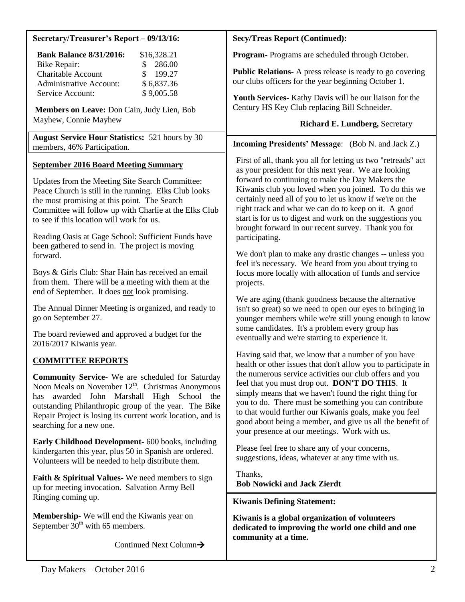| Secretary/Treasurer's Report - 09/13/16:                                                                                                                                                                                                                                                                             | <b>Secy/Treas Report (Continued):</b>                                                                                                                                                                                                                                                                                                                                                                                                                                                                                                                                                                                                                                            |  |
|----------------------------------------------------------------------------------------------------------------------------------------------------------------------------------------------------------------------------------------------------------------------------------------------------------------------|----------------------------------------------------------------------------------------------------------------------------------------------------------------------------------------------------------------------------------------------------------------------------------------------------------------------------------------------------------------------------------------------------------------------------------------------------------------------------------------------------------------------------------------------------------------------------------------------------------------------------------------------------------------------------------|--|
| <b>Bank Balance 8/31/2016:</b><br>\$16,328.21                                                                                                                                                                                                                                                                        | Program-Programs are scheduled through October.                                                                                                                                                                                                                                                                                                                                                                                                                                                                                                                                                                                                                                  |  |
| 286.00<br><b>Bike Repair:</b><br>\$<br>Charitable Account<br>199.27<br><b>Administrative Account:</b><br>\$6,837.36                                                                                                                                                                                                  | <b>Public Relations-</b> A press release is ready to go covering<br>our clubs officers for the year beginning October 1.                                                                                                                                                                                                                                                                                                                                                                                                                                                                                                                                                         |  |
| \$9,005.58<br>Service Account:<br>Members on Leave: Don Cain, Judy Lien, Bob                                                                                                                                                                                                                                         | Youth Services- Kathy Davis will be our liaison for the<br>Century HS Key Club replacing Bill Schneider.                                                                                                                                                                                                                                                                                                                                                                                                                                                                                                                                                                         |  |
| Mayhew, Connie Mayhew                                                                                                                                                                                                                                                                                                | <b>Richard E. Lundberg, Secretary</b>                                                                                                                                                                                                                                                                                                                                                                                                                                                                                                                                                                                                                                            |  |
| <b>August Service Hour Statistics: 521 hours by 30</b><br>members, 46% Participation.                                                                                                                                                                                                                                | <b>Incoming Presidents' Message:</b> (Bob N. and Jack Z.)                                                                                                                                                                                                                                                                                                                                                                                                                                                                                                                                                                                                                        |  |
| <b>September 2016 Board Meeting Summary</b><br>Updates from the Meeting Site Search Committee:<br>Peace Church is still in the running. Elks Club looks<br>the most promising at this point. The Search<br>Committee will follow up with Charlie at the Elks Club<br>to see if this location will work for us.       | First of all, thank you all for letting us two "retreads" act<br>as your president for this next year. We are looking<br>forward to continuing to make the Day Makers the<br>Kiwanis club you loved when you joined. To do this we<br>certainly need all of you to let us know if we're on the<br>right track and what we can do to keep on it. A good<br>start is for us to digest and work on the suggestions you                                                                                                                                                                                                                                                              |  |
| Reading Oasis at Gage School: Sufficient Funds have<br>been gathered to send in. The project is moving<br>forward.                                                                                                                                                                                                   | brought forward in our recent survey. Thank you for<br>participating.<br>We don't plan to make any drastic changes -- unless you<br>feel it's necessary. We heard from you about trying to<br>focus more locally with allocation of funds and service<br>projects.<br>We are aging (thank goodness because the alternative<br>isn't so great) so we need to open our eyes to bringing in<br>younger members while we're still young enough to know<br>some candidates. It's a problem every group has<br>eventually and we're starting to experience it.<br>Having said that, we know that a number of you have<br>health or other issues that don't allow you to participate in |  |
| Boys & Girls Club: Shar Hain has received an email<br>from them. There will be a meeting with them at the<br>end of September. It does not look promising.                                                                                                                                                           |                                                                                                                                                                                                                                                                                                                                                                                                                                                                                                                                                                                                                                                                                  |  |
| The Annual Dinner Meeting is organized, and ready to<br>go on September 27.                                                                                                                                                                                                                                          |                                                                                                                                                                                                                                                                                                                                                                                                                                                                                                                                                                                                                                                                                  |  |
| The board reviewed and approved a budget for the<br>2016/2017 Kiwanis year.                                                                                                                                                                                                                                          |                                                                                                                                                                                                                                                                                                                                                                                                                                                                                                                                                                                                                                                                                  |  |
| <b>COMMITTEE REPORTS</b>                                                                                                                                                                                                                                                                                             |                                                                                                                                                                                                                                                                                                                                                                                                                                                                                                                                                                                                                                                                                  |  |
| <b>Community Service-</b> We are scheduled for Saturday<br>Noon Meals on November $12^{th}$ . Christmas Anonymous<br>awarded John Marshall High School the<br>has<br>outstanding Philanthropic group of the year. The Bike<br>Repair Project is losing its current work location, and is<br>searching for a new one. | the numerous service activities our club offers and you<br>feel that you must drop out. DON'T DO THIS. It<br>simply means that we haven't found the right thing for<br>you to do. There must be something you can contribute<br>to that would further our Kiwanis goals, make you feel<br>good about being a member, and give us all the benefit of<br>your presence at our meetings. Work with us.<br>Please feel free to share any of your concerns,<br>suggestions, ideas, whatever at any time with us.                                                                                                                                                                      |  |
| Early Childhood Development- 600 books, including<br>kindergarten this year, plus 50 in Spanish are ordered.<br>Volunteers will be needed to help distribute them.                                                                                                                                                   |                                                                                                                                                                                                                                                                                                                                                                                                                                                                                                                                                                                                                                                                                  |  |
| Faith & Spiritual Values-We need members to sign<br>up for meeting invocation. Salvation Army Bell<br>Ringing coming up.                                                                                                                                                                                             | Thanks,<br><b>Bob Nowicki and Jack Zierdt</b>                                                                                                                                                                                                                                                                                                                                                                                                                                                                                                                                                                                                                                    |  |
| <b>Membership-</b> We will end the Kiwanis year on<br>September $30th$ with 65 members.                                                                                                                                                                                                                              | <b>Kiwanis Defining Statement:</b><br>Kiwanis is a global organization of volunteers<br>dedicated to improving the world one child and one<br>community at a time.                                                                                                                                                                                                                                                                                                                                                                                                                                                                                                               |  |
| Continued Next Column $\rightarrow$                                                                                                                                                                                                                                                                                  |                                                                                                                                                                                                                                                                                                                                                                                                                                                                                                                                                                                                                                                                                  |  |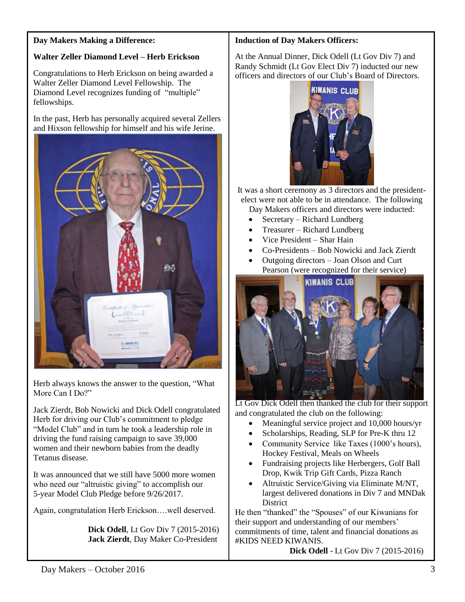## **Day Makers Making a Difference:**

# **Walter Zeller Diamond Level – Herb Erickson**

Congratulations to Herb Erickson on being awarded a Walter Zeller Diamond Level Fellowship. The Diamond Level recognizes funding of "multiple" fellowships.

In the past, Herb has personally acquired several Zellers and Hixson fellowship for himself and his wife Jerine.



Herb always knows the answer to the question, "What More Can I Do?"

Jack Zierdt, Bob Nowicki and Dick Odell congratulated Herb for driving our Club's commitment to pledge "Model Club" and in turn he took a leadership role in driving the fund raising campaign to save 39,000 women and their newborn babies from the deadly Tetanus disease.

It was announced that we still have 5000 more women who need our "altruistic giving" to accomplish our 5-year Model Club Pledge before 9/26/2017.

Again, congratulation Herb Erickson….well deserved.

**Dick Odell**, Lt Gov Div 7 (2015-2016) **Jack Zierdt**, Day Maker Co-President

## **Induction of Day Makers Officers:**

At the Annual Dinner, Dick Odell (Lt Gov Div 7) and Randy Schmidt (Lt Gov Elect Div 7) inducted our new officers and directors of our Club's Board of Directors.



It was a short ceremony as 3 directors and the presidentelect were not able to be in attendance. The following Day Makers officers and directors were inducted:

- Secretary Richard Lundberg
- Treasurer Richard Lundberg
- Vice President Shar Hain
- Co-Presidents Bob Nowicki and Jack Zierdt
- Outgoing directors Joan Olson and Curt Pearson (were recognized for their service)



Lt Gov Dick Odell then thanked the club for their support and congratulated the club on the following:

- Meaningful service project and 10,000 hours/yr
- Scholarships, Reading, SLP for Pre-K thru 12
- Community Service like Taxes (1000's hours), Hockey Festival, Meals on Wheels
- Fundraising projects like Herbergers, Golf Ball Drop, Kwik Trip Gift Cards, Pizza Ranch
- Altruistic Service/Giving via Eliminate M/NT, largest delivered donations in Div 7 and MNDak District

He then "thanked" the "Spouses" of our Kiwanians for their support and understanding of our members' commitments of time, talent and financial donations as #KIDS NEED KIWANIS.

**Dick Odell** - Lt Gov Div 7 (2015-2016)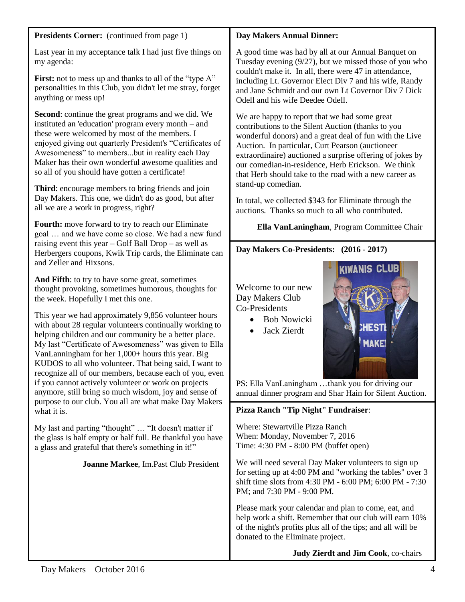| <b>Presidents Corner:</b> (continued from page 1) |  |
|---------------------------------------------------|--|
|---------------------------------------------------|--|

Last year in my acceptance talk I had just five things on my agenda:

**First:** not to mess up and thanks to all of the "type A" personalities in this Club, you didn't let me stray, forget anything or mess up!

**Second**: continue the great programs and we did. We instituted an 'education' program every month – and these were welcomed by most of the members. I enjoyed giving out quarterly President's "Certificates of Awesomeness" to members...but in reality each Day Maker has their own wonderful awesome qualities and so all of you should have gotten a certificate!

**Third**: encourage members to bring friends and join Day Makers. This one, we didn't do as good, but after all we are a work in progress, right?

**Fourth:** move forward to try to reach our Eliminate goal … and we have come so close. We had a new fund raising event this year – Golf Ball Drop – as well as Herbergers coupons, Kwik Trip cards, the Eliminate can and Zeller and Hixsons.

**And Fifth**: to try to have some great, sometimes thought provoking, sometimes humorous, thoughts for the week. Hopefully I met this one.

This year we had approximately 9,856 volunteer hours with about 28 regular volunteers continually working to helping children and our community be a better place. My last "Certificate of Awesomeness" was given to Ella VanLanningham for her 1,000+ hours this year. Big KUDOS to all who volunteer. That being said, I want to recognize all of our members, because each of you, even if you cannot actively volunteer or work on projects anymore, still bring so much wisdom, joy and sense of purpose to our club. You all are what make Day Makers what it is.

My last and parting "thought" … "It doesn't matter if the glass is half empty or half full. Be thankful you have a glass and grateful that there's something in it!"

## **Joanne Markee**, Im.Past Club President

## **Day Makers Annual Dinner:**

A good time was had by all at our Annual Banquet on Tuesday evening (9/27), but we missed those of you who couldn't make it. In all, there were 47 in attendance, including Lt. Governor Elect Div 7 and his wife, Randy and Jane Schmidt and our own Lt Governor Div 7 Dick Odell and his wife Deedee Odell.

We are happy to report that we had some great contributions to the Silent Auction (thanks to you wonderful donors) and a great deal of fun with the Live Auction. In particular, Curt Pearson (auctioneer extraordinaire) auctioned a surprise offering of jokes by our comedian-in-residence, Herb Erickson. We think that Herb should take to the road with a new career as stand-up comedian.

In total, we collected \$343 for Eliminate through the auctions. Thanks so much to all who contributed.

 **Ella VanLaningham**, Program Committee Chair

# **Day Makers Co-Presidents: (2016 - 2017)**

Welcome to our new Day Makers Club Co-Presidents

- Bob Nowicki
- Jack Zierdt



PS: Ella VanLaningham …thank you for driving our annual dinner program and Shar Hain for Silent Auction.

#### **Pizza Ranch "Tip Night" Fundraiser**: communication.

Where: Stewartville Pizza Ranch When: Monday, November 7, 2016 Time: 4:30 PM - 8:00 PM (buffet open)

We will need several Day Maker volunteers to sign up for setting up at 4:00 PM and "working the tables" over 3 shift time slots from 4:30 PM - 6:00 PM; 6:00 PM - 7:30 PM; and 7:30 PM - 9:00 PM.

Please mark your calendar and plan to come, eat, and help work a shift. Remember that our club will earn 10% of the night's profits plus all of the tips; and all will be donated to the Eliminate project.

**Judy Zierdt and Jim Cook**, co-chairs